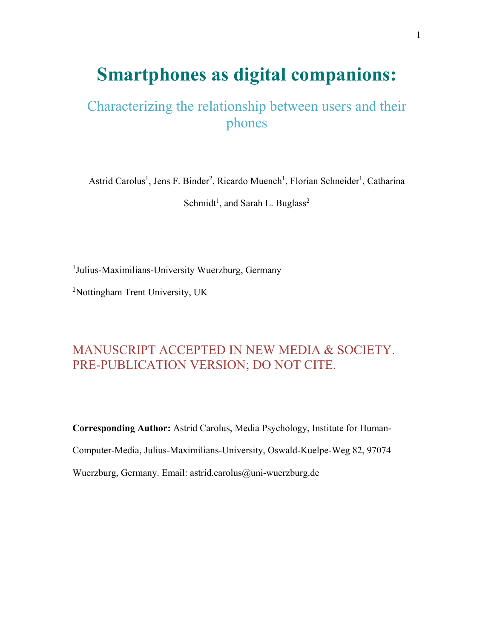# **Smartphones as digital companions:**

# Characterizing the relationship between users and their phones

Astrid Carolus<sup>1</sup>, Jens F. Binder<sup>2</sup>, Ricardo Muench<sup>1</sup>, Florian Schneider<sup>1</sup>, Catharina Schmidt<sup>1</sup>, and Sarah L. Buglass<sup>2</sup>

<sup>1</sup>Julius-Maximilians-University Wuerzburg, Germany

<sup>2</sup>Nottingham Trent University, UK

### MANUSCRIPT ACCEPTED IN NEW MEDIA & SOCIETY. PRE-PUBLICATION VERSION; DO NOT CITE.

**Corresponding Author:** Astrid Carolus, Media Psychology, Institute for Human-Computer-Media, Julius-Maximilians-University, Oswald-Kuelpe-Weg 82, 97074 Wuerzburg, Germany. Email: astrid.carolus@uni-wuerzburg.de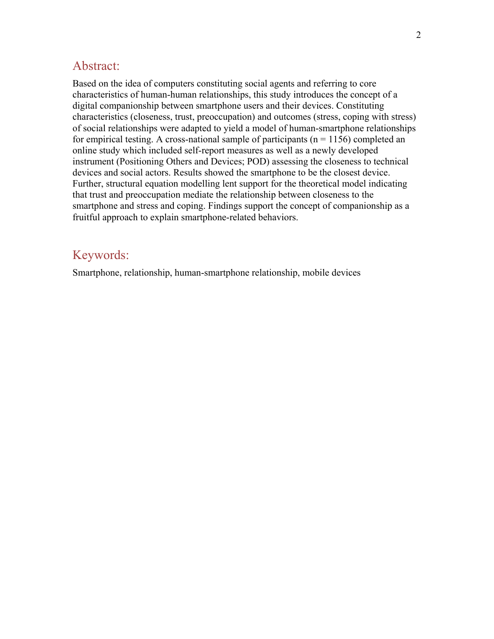#### Abstract:

Based on the idea of computers constituting social agents and referring to core characteristics of human-human relationships, this study introduces the concept of a digital companionship between smartphone users and their devices. Constituting characteristics (closeness, trust, preoccupation) and outcomes (stress, coping with stress) of social relationships were adapted to yield a model of human-smartphone relationships for empirical testing. A cross-national sample of participants ( $n = 1156$ ) completed an online study which included self-report measures as well as a newly developed instrument (Positioning Others and Devices; POD) assessing the closeness to technical devices and social actors. Results showed the smartphone to be the closest device. Further, structural equation modelling lent support for the theoretical model indicating that trust and preoccupation mediate the relationship between closeness to the smartphone and stress and coping. Findings support the concept of companionship as a fruitful approach to explain smartphone-related behaviors.

### Keywords:

Smartphone, relationship, human-smartphone relationship, mobile devices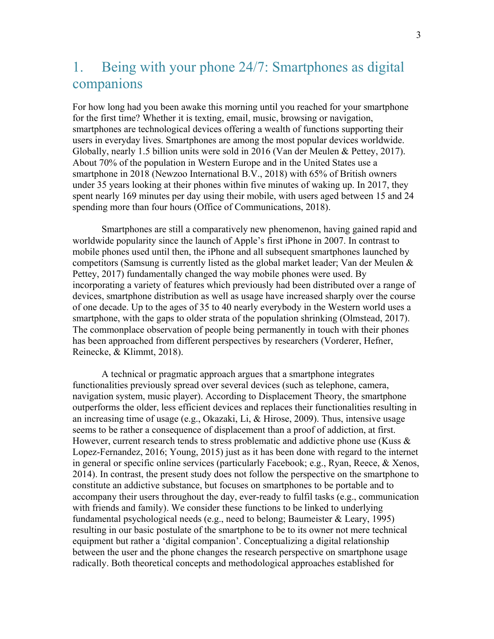# 1. Being with your phone 24/7: Smartphones as digital companions

For how long had you been awake this morning until you reached for your smartphone for the first time? Whether it is texting, email, music, browsing or navigation, smartphones are technological devices offering a wealth of functions supporting their users in everyday lives. Smartphones are among the most popular devices worldwide. Globally, nearly 1.5 billion units were sold in 2016 (Van der Meulen & Pettey, 2017). About 70% of the population in Western Europe and in the United States use a smartphone in 2018 (Newzoo International B.V., 2018) with 65% of British owners under 35 years looking at their phones within five minutes of waking up. In 2017, they spent nearly 169 minutes per day using their mobile, with users aged between 15 and 24 spending more than four hours (Office of Communications, 2018).

Smartphones are still a comparatively new phenomenon, having gained rapid and worldwide popularity since the launch of Apple's first iPhone in 2007. In contrast to mobile phones used until then, the iPhone and all subsequent smartphones launched by competitors (Samsung is currently listed as the global market leader; Van der Meulen & Pettey, 2017) fundamentally changed the way mobile phones were used. By incorporating a variety of features which previously had been distributed over a range of devices, smartphone distribution as well as usage have increased sharply over the course of one decade. Up to the ages of 35 to 40 nearly everybody in the Western world uses a smartphone, with the gaps to older strata of the population shrinking (Olmstead, 2017). The commonplace observation of people being permanently in touch with their phones has been approached from different perspectives by researchers (Vorderer, Hefner, Reinecke, & Klimmt, 2018).

A technical or pragmatic approach argues that a smartphone integrates functionalities previously spread over several devices (such as telephone, camera, navigation system, music player). According to Displacement Theory, the smartphone outperforms the older, less efficient devices and replaces their functionalities resulting in an increasing time of usage (e.g., Okazaki, Li, & Hirose, 2009). Thus, intensive usage seems to be rather a consequence of displacement than a proof of addiction, at first. However, current research tends to stress problematic and addictive phone use (Kuss  $\&$ Lopez-Fernandez, 2016; Young, 2015) just as it has been done with regard to the internet in general or specific online services (particularly Facebook; e.g., Ryan, Reece, & Xenos, 2014). In contrast, the present study does not follow the perspective on the smartphone to constitute an addictive substance, but focuses on smartphones to be portable and to accompany their users throughout the day, ever-ready to fulfil tasks (e.g., communication with friends and family). We consider these functions to be linked to underlying fundamental psychological needs (e.g., need to belong; Baumeister & Leary, 1995) resulting in our basic postulate of the smartphone to be to its owner not mere technical equipment but rather a 'digital companion'. Conceptualizing a digital relationship between the user and the phone changes the research perspective on smartphone usage radically. Both theoretical concepts and methodological approaches established for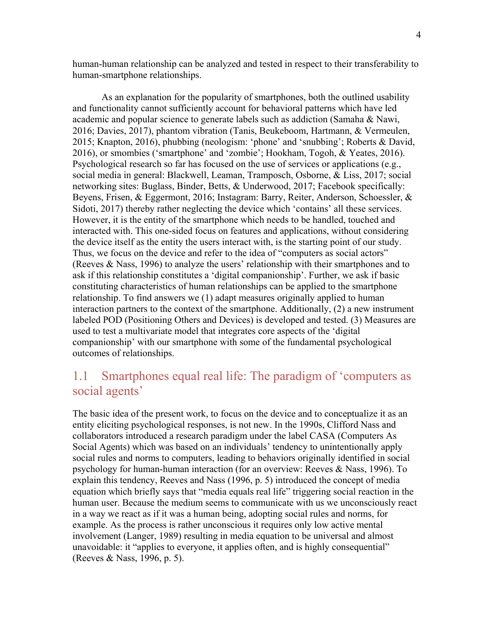human-human relationship can be analyzed and tested in respect to their transferability to human-smartphone relationships.

As an explanation for the popularity of smartphones, both the outlined usability and functionality cannot sufficiently account for behavioral patterns which have led academic and popular science to generate labels such as addiction (Samaha & Nawi, 2016; Davies, 2017), phantom vibration (Tanis, Beukeboom, Hartmann, & Vermeulen, 2015; Knapton, 2016), phubbing (neologism: 'phone' and 'snubbing'; Roberts & David, 2016), or smombies ('smartphone' and 'zombie'; Hookham, Togoh, & Yeates, 2016). Psychological research so far has focused on the use of services or applications (e.g., social media in general: Blackwell, Leaman, Tramposch, Osborne, & Liss, 2017; social networking sites: Buglass, Binder, Betts, & Underwood, 2017; Facebook specifically: Beyens, Frisen, & Eggermont, 2016; Instagram: Barry, Reiter, Anderson, Schoessler, & Sidoti, 2017) thereby rather neglecting the device which 'contains' all these services. However, it is the entity of the smartphone which needs to be handled, touched and interacted with. This one-sided focus on features and applications, without considering the device itself as the entity the users interact with, is the starting point of our study. Thus, we focus on the device and refer to the idea of "computers as social actors" (Reeves & Nass, 1996) to analyze the users' relationship with their smartphones and to ask if this relationship constitutes a 'digital companionship'. Further, we ask if basic constituting characteristics of human relationships can be applied to the smartphone relationship. To find answers we (1) adapt measures originally applied to human interaction partners to the context of the smartphone. Additionally, (2) a new instrument labeled POD (Positioning Others and Devices) is developed and tested. (3) Measures are used to test a multivariate model that integrates core aspects of the 'digital companionship' with our smartphone with some of the fundamental psychological outcomes of relationships.

### 1.1 Smartphones equal real life: The paradigm of 'computers as social agents'

The basic idea of the present work, to focus on the device and to conceptualize it as an entity eliciting psychological responses, is not new. In the 1990s, Clifford Nass and collaborators introduced a research paradigm under the label CASA (Computers As Social Agents) which was based on an individuals' tendency to unintentionally apply social rules and norms to computers, leading to behaviors originally identified in social psychology for human-human interaction (for an overview: Reeves & Nass, 1996). To explain this tendency, Reeves and Nass (1996, p. 5) introduced the concept of media equation which briefly says that "media equals real life" triggering social reaction in the human user. Because the medium seems to communicate with us we unconsciously react in a way we react as if it was a human being, adopting social rules and norms, for example. As the process is rather unconscious it requires only low active mental involvement (Langer, 1989) resulting in media equation to be universal and almost unavoidable: it "applies to everyone, it applies often, and is highly consequential" (Reeves & Nass, 1996, p. 5).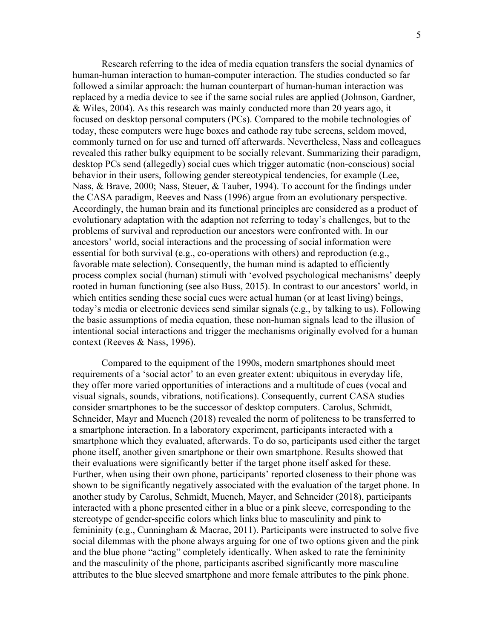Research referring to the idea of media equation transfers the social dynamics of human-human interaction to human-computer interaction. The studies conducted so far followed a similar approach: the human counterpart of human-human interaction was replaced by a media device to see if the same social rules are applied (Johnson, Gardner, & Wiles, 2004). As this research was mainly conducted more than 20 years ago, it focused on desktop personal computers (PCs). Compared to the mobile technologies of today, these computers were huge boxes and cathode ray tube screens, seldom moved, commonly turned on for use and turned off afterwards. Nevertheless, Nass and colleagues revealed this rather bulky equipment to be socially relevant. Summarizing their paradigm, desktop PCs send (allegedly) social cues which trigger automatic (non-conscious) social behavior in their users, following gender stereotypical tendencies, for example (Lee, Nass, & Brave, 2000; Nass, Steuer, & Tauber, 1994). To account for the findings under the CASA paradigm, Reeves and Nass (1996) argue from an evolutionary perspective. Accordingly, the human brain and its functional principles are considered as a product of evolutionary adaptation with the adaption not referring to today's challenges, but to the problems of survival and reproduction our ancestors were confronted with. In our ancestors' world, social interactions and the processing of social information were essential for both survival (e.g., co-operations with others) and reproduction (e.g., favorable mate selection). Consequently, the human mind is adapted to efficiently process complex social (human) stimuli with 'evolved psychological mechanisms' deeply rooted in human functioning (see also Buss, 2015). In contrast to our ancestors' world, in which entities sending these social cues were actual human (or at least living) beings, today's media or electronic devices send similar signals (e.g., by talking to us). Following the basic assumptions of media equation, these non-human signals lead to the illusion of intentional social interactions and trigger the mechanisms originally evolved for a human context (Reeves & Nass, 1996).

Compared to the equipment of the 1990s, modern smartphones should meet requirements of a 'social actor' to an even greater extent: ubiquitous in everyday life, they offer more varied opportunities of interactions and a multitude of cues (vocal and visual signals, sounds, vibrations, notifications). Consequently, current CASA studies consider smartphones to be the successor of desktop computers. Carolus, Schmidt, Schneider, Mayr and Muench (2018) revealed the norm of politeness to be transferred to a smartphone interaction. In a laboratory experiment, participants interacted with a smartphone which they evaluated, afterwards. To do so, participants used either the target phone itself, another given smartphone or their own smartphone. Results showed that their evaluations were significantly better if the target phone itself asked for these. Further, when using their own phone, participants' reported closeness to their phone was shown to be significantly negatively associated with the evaluation of the target phone. In another study by Carolus, Schmidt, Muench, Mayer, and Schneider (2018), participants interacted with a phone presented either in a blue or a pink sleeve, corresponding to the stereotype of gender-specific colors which links blue to masculinity and pink to femininity (e.g., Cunningham & Macrae, 2011). Participants were instructed to solve five social dilemmas with the phone always arguing for one of two options given and the pink and the blue phone "acting" completely identically. When asked to rate the femininity and the masculinity of the phone, participants ascribed significantly more masculine attributes to the blue sleeved smartphone and more female attributes to the pink phone.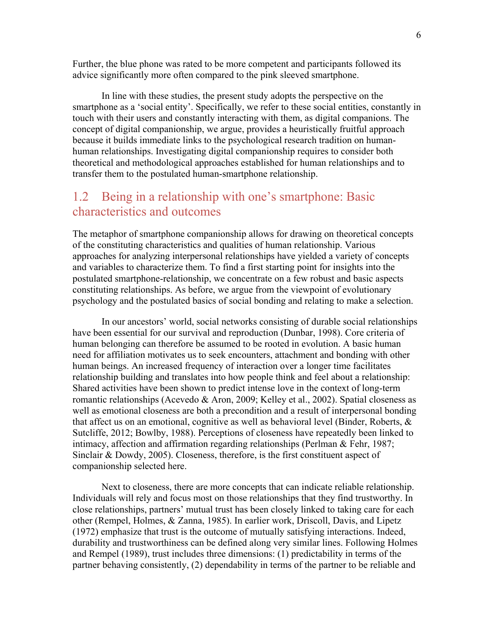Further, the blue phone was rated to be more competent and participants followed its advice significantly more often compared to the pink sleeved smartphone.

In line with these studies, the present study adopts the perspective on the smartphone as a 'social entity'. Specifically, we refer to these social entities, constantly in touch with their users and constantly interacting with them, as digital companions. The concept of digital companionship, we argue, provides a heuristically fruitful approach because it builds immediate links to the psychological research tradition on humanhuman relationships. Investigating digital companionship requires to consider both theoretical and methodological approaches established for human relationships and to transfer them to the postulated human-smartphone relationship.

### 1.2 Being in a relationship with one's smartphone: Basic characteristics and outcomes

The metaphor of smartphone companionship allows for drawing on theoretical concepts of the constituting characteristics and qualities of human relationship. Various approaches for analyzing interpersonal relationships have yielded a variety of concepts and variables to characterize them. To find a first starting point for insights into the postulated smartphone-relationship, we concentrate on a few robust and basic aspects constituting relationships. As before, we argue from the viewpoint of evolutionary psychology and the postulated basics of social bonding and relating to make a selection.

In our ancestors' world, social networks consisting of durable social relationships have been essential for our survival and reproduction (Dunbar, 1998). Core criteria of human belonging can therefore be assumed to be rooted in evolution. A basic human need for affiliation motivates us to seek encounters, attachment and bonding with other human beings. An increased frequency of interaction over a longer time facilitates relationship building and translates into how people think and feel about a relationship: Shared activities have been shown to predict intense love in the context of long-term romantic relationships (Acevedo & Aron, 2009; Kelley et al., 2002). Spatial closeness as well as emotional closeness are both a precondition and a result of interpersonal bonding that affect us on an emotional, cognitive as well as behavioral level (Binder, Roberts, & Sutcliffe, 2012; Bowlby, 1988). Perceptions of closeness have repeatedly been linked to intimacy, affection and affirmation regarding relationships (Perlman & Fehr, 1987; Sinclair & Dowdy, 2005). Closeness, therefore, is the first constituent aspect of companionship selected here.

Next to closeness, there are more concepts that can indicate reliable relationship. Individuals will rely and focus most on those relationships that they find trustworthy. In close relationships, partners' mutual trust has been closely linked to taking care for each other (Rempel, Holmes, & Zanna, 1985). In earlier work, Driscoll, Davis, and Lipetz (1972) emphasize that trust is the outcome of mutually satisfying interactions. Indeed, durability and trustworthiness can be defined along very similar lines. Following Holmes and Rempel (1989), trust includes three dimensions: (1) predictability in terms of the partner behaving consistently, (2) dependability in terms of the partner to be reliable and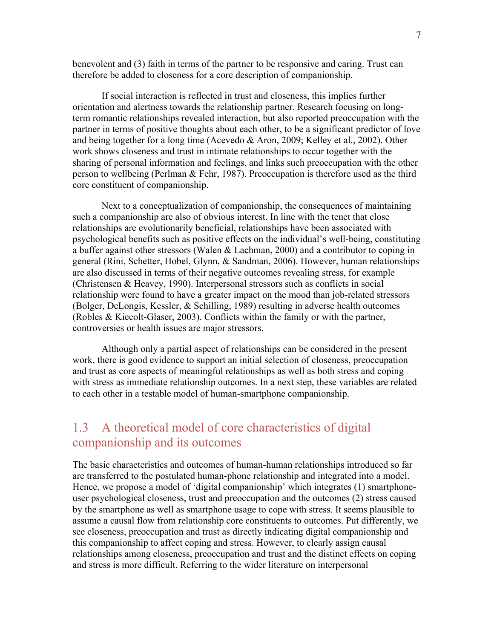benevolent and (3) faith in terms of the partner to be responsive and caring. Trust can therefore be added to closeness for a core description of companionship.

If social interaction is reflected in trust and closeness, this implies further orientation and alertness towards the relationship partner. Research focusing on longterm romantic relationships revealed interaction, but also reported preoccupation with the partner in terms of positive thoughts about each other, to be a significant predictor of love and being together for a long time (Acevedo & Aron, 2009; Kelley et al., 2002). Other work shows closeness and trust in intimate relationships to occur together with the sharing of personal information and feelings, and links such preoccupation with the other person to wellbeing (Perlman & Fehr, 1987). Preoccupation is therefore used as the third core constituent of companionship.

Next to a conceptualization of companionship, the consequences of maintaining such a companionship are also of obvious interest. In line with the tenet that close relationships are evolutionarily beneficial, relationships have been associated with psychological benefits such as positive effects on the individual's well-being, constituting a buffer against other stressors (Walen & Lachman, 2000) and a contributor to coping in general (Rini, Schetter, Hobel, Glynn, & Sandman, 2006). However, human relationships are also discussed in terms of their negative outcomes revealing stress, for example (Christensen & Heavey, 1990). Interpersonal stressors such as conflicts in social relationship were found to have a greater impact on the mood than job-related stressors (Bolger, DeLongis, Kessler, & Schilling, 1989) resulting in adverse health outcomes (Robles & Kiecolt-Glaser, 2003). Conflicts within the family or with the partner, controversies or health issues are major stressors.

Although only a partial aspect of relationships can be considered in the present work, there is good evidence to support an initial selection of closeness, preoccupation and trust as core aspects of meaningful relationships as well as both stress and coping with stress as immediate relationship outcomes. In a next step, these variables are related to each other in a testable model of human-smartphone companionship.

### 1.3 A theoretical model of core characteristics of digital companionship and its outcomes

The basic characteristics and outcomes of human-human relationships introduced so far are transferred to the postulated human-phone relationship and integrated into a model. Hence, we propose a model of 'digital companionship' which integrates (1) smartphoneuser psychological closeness, trust and preoccupation and the outcomes (2) stress caused by the smartphone as well as smartphone usage to cope with stress. It seems plausible to assume a causal flow from relationship core constituents to outcomes. Put differently, we see closeness, preoccupation and trust as directly indicating digital companionship and this companionship to affect coping and stress. However, to clearly assign causal relationships among closeness, preoccupation and trust and the distinct effects on coping and stress is more difficult. Referring to the wider literature on interpersonal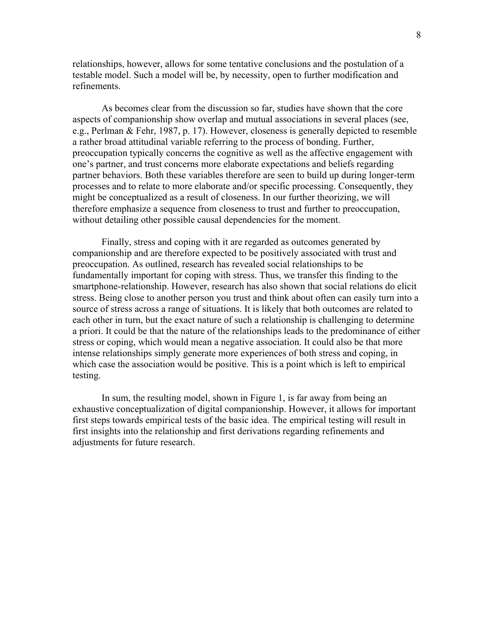relationships, however, allows for some tentative conclusions and the postulation of a testable model. Such a model will be, by necessity, open to further modification and refinements.

As becomes clear from the discussion so far, studies have shown that the core aspects of companionship show overlap and mutual associations in several places (see, e.g., Perlman & Fehr, 1987, p. 17). However, closeness is generally depicted to resemble a rather broad attitudinal variable referring to the process of bonding. Further, preoccupation typically concerns the cognitive as well as the affective engagement with one's partner, and trust concerns more elaborate expectations and beliefs regarding partner behaviors. Both these variables therefore are seen to build up during longer-term processes and to relate to more elaborate and/or specific processing. Consequently, they might be conceptualized as a result of closeness. In our further theorizing, we will therefore emphasize a sequence from closeness to trust and further to preoccupation, without detailing other possible causal dependencies for the moment.

Finally, stress and coping with it are regarded as outcomes generated by companionship and are therefore expected to be positively associated with trust and preoccupation. As outlined, research has revealed social relationships to be fundamentally important for coping with stress. Thus, we transfer this finding to the smartphone-relationship. However, research has also shown that social relations do elicit stress. Being close to another person you trust and think about often can easily turn into a source of stress across a range of situations. It is likely that both outcomes are related to each other in turn, but the exact nature of such a relationship is challenging to determine a priori. It could be that the nature of the relationships leads to the predominance of either stress or coping, which would mean a negative association. It could also be that more intense relationships simply generate more experiences of both stress and coping, in which case the association would be positive. This is a point which is left to empirical testing.

In sum, the resulting model, shown in Figure 1, is far away from being an exhaustive conceptualization of digital companionship. However, it allows for important first steps towards empirical tests of the basic idea. The empirical testing will result in first insights into the relationship and first derivations regarding refinements and adjustments for future research.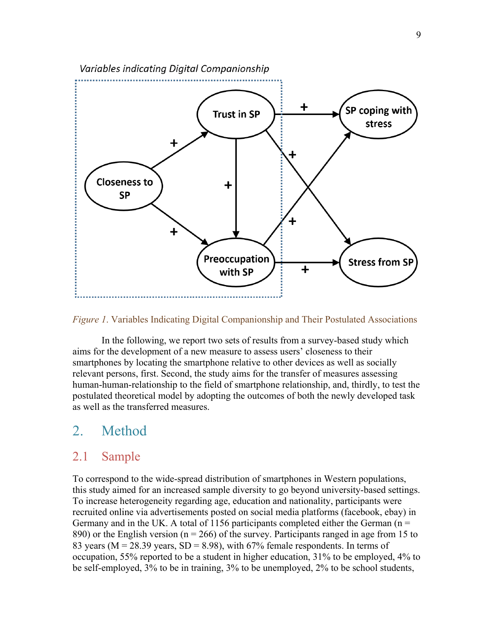

#### *Figure 1*. Variables Indicating Digital Companionship and Their Postulated Associations

In the following, we report two sets of results from a survey-based study which aims for the development of a new measure to assess users' closeness to their smartphones by locating the smartphone relative to other devices as well as socially relevant persons, first. Second, the study aims for the transfer of measures assessing human-human-relationship to the field of smartphone relationship, and, thirdly, to test the postulated theoretical model by adopting the outcomes of both the newly developed task as well as the transferred measures.

### 2. Method

### 2.1 Sample

To correspond to the wide-spread distribution of smartphones in Western populations, this study aimed for an increased sample diversity to go beyond university-based settings. To increase heterogeneity regarding age, education and nationality, participants were recruited online via advertisements posted on social media platforms (facebook, ebay) in Germany and in the UK. A total of 1156 participants completed either the German ( $n =$ 890) or the English version ( $n = 266$ ) of the survey. Participants ranged in age from 15 to 83 years ( $M = 28.39$  years,  $SD = 8.98$ ), with 67% female respondents. In terms of occupation, 55% reported to be a student in higher education, 31% to be employed, 4% to be self-employed, 3% to be in training, 3% to be unemployed, 2% to be school students,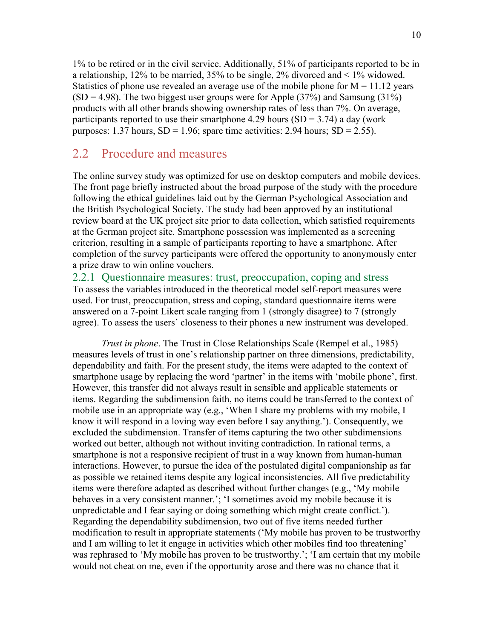1% to be retired or in the civil service. Additionally, 51% of participants reported to be in a relationship, 12% to be married, 35% to be single, 2% divorced and < 1% widowed. Statistics of phone use revealed an average use of the mobile phone for  $M = 11.12$  years  $(SD = 4.98)$ . The two biggest user groups were for Apple (37%) and Samsung (31%) products with all other brands showing ownership rates of less than 7%. On average, participants reported to use their smartphone 4.29 hours  $(SD = 3.74)$  a day (work purposes: 1.37 hours,  $SD = 1.96$ ; spare time activities: 2.94 hours;  $SD = 2.55$ ).

#### 2.2 Procedure and measures

The online survey study was optimized for use on desktop computers and mobile devices. The front page briefly instructed about the broad purpose of the study with the procedure following the ethical guidelines laid out by the German Psychological Association and the British Psychological Society. The study had been approved by an institutional review board at the UK project site prior to data collection, which satisfied requirements at the German project site. Smartphone possession was implemented as a screening criterion, resulting in a sample of participants reporting to have a smartphone. After completion of the survey participants were offered the opportunity to anonymously enter a prize draw to win online vouchers.

2.2.1 Questionnaire measures: trust, preoccupation, coping and stress To assess the variables introduced in the theoretical model self-report measures were used. For trust, preoccupation, stress and coping, standard questionnaire items were answered on a 7-point Likert scale ranging from 1 (strongly disagree) to 7 (strongly agree). To assess the users' closeness to their phones a new instrument was developed.

*Trust in phone*. The Trust in Close Relationships Scale (Rempel et al., 1985) measures levels of trust in one's relationship partner on three dimensions, predictability, dependability and faith. For the present study, the items were adapted to the context of smartphone usage by replacing the word 'partner' in the items with 'mobile phone', first. However, this transfer did not always result in sensible and applicable statements or items. Regarding the subdimension faith, no items could be transferred to the context of mobile use in an appropriate way (e.g., 'When I share my problems with my mobile, I know it will respond in a loving way even before I say anything.'). Consequently, we excluded the subdimension. Transfer of items capturing the two other subdimensions worked out better, although not without inviting contradiction. In rational terms, a smartphone is not a responsive recipient of trust in a way known from human-human interactions. However, to pursue the idea of the postulated digital companionship as far as possible we retained items despite any logical inconsistencies. All five predictability items were therefore adapted as described without further changes (e.g., 'My mobile behaves in a very consistent manner.'; 'I sometimes avoid my mobile because it is unpredictable and I fear saying or doing something which might create conflict.'). Regarding the dependability subdimension, two out of five items needed further modification to result in appropriate statements ('My mobile has proven to be trustworthy and I am willing to let it engage in activities which other mobiles find too threatening' was rephrased to 'My mobile has proven to be trustworthy.'; 'I am certain that my mobile would not cheat on me, even if the opportunity arose and there was no chance that it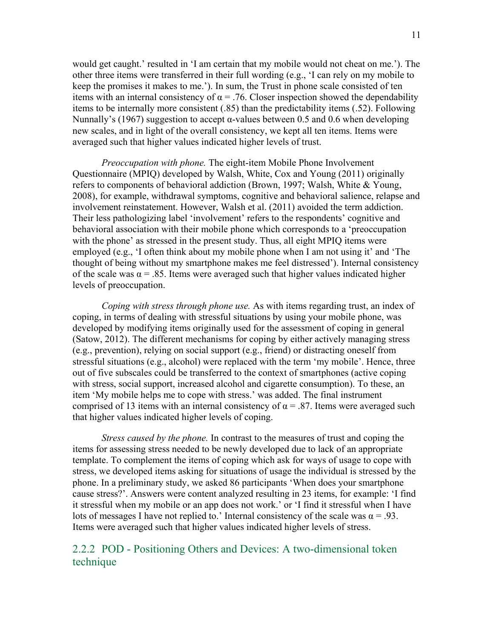would get caught.' resulted in 'I am certain that my mobile would not cheat on me.'). The other three items were transferred in their full wording (e.g., 'I can rely on my mobile to keep the promises it makes to me.'). In sum, the Trust in phone scale consisted of ten items with an internal consistency of  $\alpha = 0.76$ . Closer inspection showed the dependability items to be internally more consistent (.85) than the predictability items (.52). Following Nunnally's (1967) suggestion to accept α-values between 0.5 and 0.6 when developing new scales, and in light of the overall consistency, we kept all ten items. Items were averaged such that higher values indicated higher levels of trust.

*Preoccupation with phone.* The eight-item Mobile Phone Involvement Questionnaire (MPIQ) developed by Walsh, White, Cox and Young (2011) originally refers to components of behavioral addiction (Brown, 1997; Walsh, White & Young, 2008), for example, withdrawal symptoms, cognitive and behavioral salience, relapse and involvement reinstatement. However, Walsh et al. (2011) avoided the term addiction. Their less pathologizing label 'involvement' refers to the respondents' cognitive and behavioral association with their mobile phone which corresponds to a 'preoccupation with the phone' as stressed in the present study. Thus, all eight MPIQ items were employed (e.g., 'I often think about my mobile phone when I am not using it' and 'The thought of being without my smartphone makes me feel distressed'). Internal consistency of the scale was  $\alpha = .85$ . Items were averaged such that higher values indicated higher levels of preoccupation.

*Coping with stress through phone use.* As with items regarding trust, an index of coping, in terms of dealing with stressful situations by using your mobile phone, was developed by modifying items originally used for the assessment of coping in general (Satow, 2012). The different mechanisms for coping by either actively managing stress (e.g., prevention), relying on social support (e.g., friend) or distracting oneself from stressful situations (e.g., alcohol) were replaced with the term 'my mobile'. Hence, three out of five subscales could be transferred to the context of smartphones (active coping with stress, social support, increased alcohol and cigarette consumption). To these, an item 'My mobile helps me to cope with stress.' was added. The final instrument comprised of 13 items with an internal consistency of  $\alpha = .87$ . Items were averaged such that higher values indicated higher levels of coping.

*Stress caused by the phone.* In contrast to the measures of trust and coping the items for assessing stress needed to be newly developed due to lack of an appropriate template. To complement the items of coping which ask for ways of usage to cope with stress, we developed items asking for situations of usage the individual is stressed by the phone. In a preliminary study, we asked 86 participants 'When does your smartphone cause stress?'. Answers were content analyzed resulting in 23 items, for example: 'I find it stressful when my mobile or an app does not work.' or 'I find it stressful when I have lots of messages I have not replied to.' Internal consistency of the scale was  $\alpha = .93$ . Items were averaged such that higher values indicated higher levels of stress.

#### 2.2.2 POD - Positioning Others and Devices: A two-dimensional token technique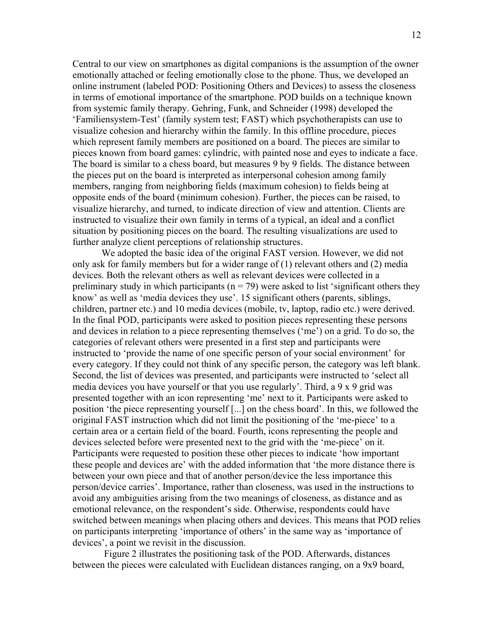Central to our view on smartphones as digital companions is the assumption of the owner emotionally attached or feeling emotionally close to the phone. Thus, we developed an online instrument (labeled POD: Positioning Others and Devices) to assess the closeness in terms of emotional importance of the smartphone. POD builds on a technique known from systemic family therapy. Gehring, Funk, and Schneider (1998) developed the 'Familiensystem-Test' (family system test; FAST) which psychotherapists can use to visualize cohesion and hierarchy within the family. In this offline procedure, pieces which represent family members are positioned on a board. The pieces are similar to pieces known from board games: cylindric, with painted nose and eyes to indicate a face. The board is similar to a chess board, but measures 9 by 9 fields. The distance between the pieces put on the board is interpreted as interpersonal cohesion among family members, ranging from neighboring fields (maximum cohesion) to fields being at opposite ends of the board (minimum cohesion). Further, the pieces can be raised, to visualize hierarchy, and turned, to indicate direction of view and attention. Clients are instructed to visualize their own family in terms of a typical, an ideal and a conflict situation by positioning pieces on the board. The resulting visualizations are used to further analyze client perceptions of relationship structures.

We adopted the basic idea of the original FAST version. However, we did not only ask for family members but for a wider range of (1) relevant others and (2) media devices. Both the relevant others as well as relevant devices were collected in a preliminary study in which participants ( $n = 79$ ) were asked to list 'significant others they know' as well as 'media devices they use'. 15 significant others (parents, siblings, children, partner etc.) and 10 media devices (mobile, tv, laptop, radio etc.) were derived. In the final POD, participants were asked to position pieces representing these persons and devices in relation to a piece representing themselves ('me') on a grid. To do so, the categories of relevant others were presented in a first step and participants were instructed to 'provide the name of one specific person of your social environment' for every category. If they could not think of any specific person, the category was left blank. Second, the list of devices was presented, and participants were instructed to 'select all media devices you have yourself or that you use regularly'. Third, a  $9 \times 9$  grid was presented together with an icon representing 'me' next to it. Participants were asked to position 'the piece representing yourself [...] on the chess board'. In this, we followed the original FAST instruction which did not limit the positioning of the 'me-piece' to a certain area or a certain field of the board. Fourth, icons representing the people and devices selected before were presented next to the grid with the 'me-piece' on it. Participants were requested to position these other pieces to indicate 'how important these people and devices are' with the added information that 'the more distance there is between your own piece and that of another person/device the less importance this person/device carries'. Importance, rather than closeness, was used in the instructions to avoid any ambiguities arising from the two meanings of closeness, as distance and as emotional relevance, on the respondent's side. Otherwise, respondents could have switched between meanings when placing others and devices. This means that POD relies on participants interpreting 'importance of others' in the same way as 'importance of devices', a point we revisit in the discussion.

Figure 2 illustrates the positioning task of the POD. Afterwards, distances between the pieces were calculated with Euclidean distances ranging, on a 9x9 board,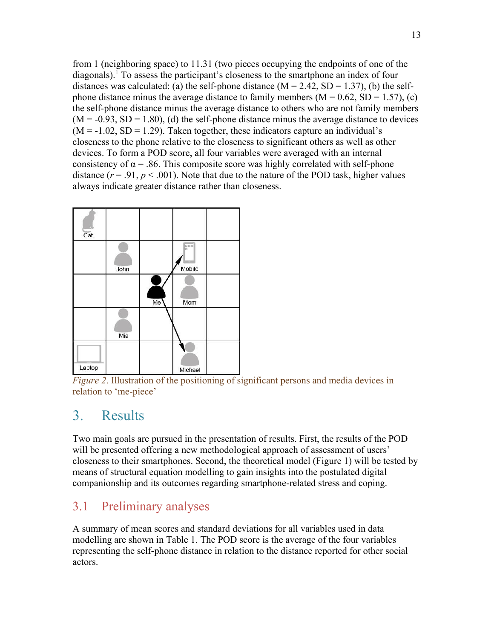from 1 (neighboring space) to 11.31 (two pieces occupying the endpoints of one of the diagonals).<sup>1</sup> To assess the participant's closeness to the smartphone an index of four distances was calculated: (a) the self-phone distance  $(M = 2.42, SD = 1.37)$ , (b) the selfphone distance minus the average distance to family members ( $M = 0.62$ ,  $SD = 1.57$ ), (c) the self-phone distance minus the average distance to others who are not family members  $(M = -0.93, SD = 1.80)$ , (d) the self-phone distance minus the average distance to devices  $(M = -1.02, SD = 1.29)$ . Taken together, these indicators capture an individual's closeness to the phone relative to the closeness to significant others as well as other devices. To form a POD score, all four variables were averaged with an internal consistency of  $\alpha$  = .86. This composite score was highly correlated with self-phone distance  $(r = .91, p < .001)$ . Note that due to the nature of the POD task, higher values always indicate greater distance rather than closeness.



*Figure 2*. Illustration of the positioning of significant persons and media devices in relation to 'me-piece'

# 3. Results

Two main goals are pursued in the presentation of results. First, the results of the POD will be presented offering a new methodological approach of assessment of users' closeness to their smartphones. Second, the theoretical model (Figure 1) will be tested by means of structural equation modelling to gain insights into the postulated digital companionship and its outcomes regarding smartphone-related stress and coping.

### 3.1 Preliminary analyses

A summary of mean scores and standard deviations for all variables used in data modelling are shown in Table 1. The POD score is the average of the four variables representing the self-phone distance in relation to the distance reported for other social actors.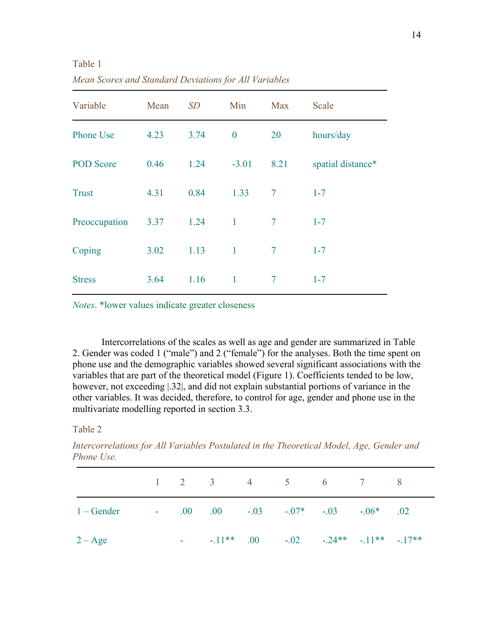| Variable         | Mean | SD   | Min              | <b>Max</b>     | Scale             |
|------------------|------|------|------------------|----------------|-------------------|
| <b>Phone Use</b> | 4.23 | 3.74 | $\boldsymbol{0}$ | 20             | hours/day         |
| <b>POD</b> Score | 0.46 | 1.24 | $-3.01$          | 8.21           | spatial distance* |
| <b>Trust</b>     | 4.31 | 0.84 | 1.33             | $\overline{7}$ | $1 - 7$           |
| Preoccupation    | 3.37 | 1.24 | $\mathbf{1}$     | $\overline{7}$ | $1 - 7$           |
| Coping           | 3.02 | 1.13 | $\mathbf{1}$     | $\overline{7}$ | $1 - 7$           |
| <b>Stress</b>    | 3.64 | 1.16 | $\mathbf{1}$     | $\overline{7}$ | $1 - 7$           |

*Mean Scores and Standard Deviations for All Variables*

*Notes*. \*lower values indicate greater closeness

Intercorrelations of the scales as well as age and gender are summarized in Table 2. Gender was coded 1 ("male") and 2 ("female") for the analyses. Both the time spent on phone use and the demographic variables showed several significant associations with the variables that are part of the theoretical model (Figure 1). Coefficients tended to be low, however, not exceeding [.32], and did not explain substantial portions of variance in the other variables. It was decided, therefore, to control for age, gender and phone use in the multivariate modelling reported in section 3.3.

#### Table 2

Table 1

*Intercorrelations for All Variables Postulated in the Theoretical Model, Age, Gender and Phone Use.*

|                                                |  | $1 \t2 \t3 \t4 \t5 \t6 \t7 \t8$                         |  |  |  |
|------------------------------------------------|--|---------------------------------------------------------|--|--|--|
| 1 - Gender - .00 .00 -.03 -.07* -.03 -.06* .02 |  |                                                         |  |  |  |
| $2 - \text{Age}$                               |  | - $-11^{**}$ .00 $-02$ $-24^{**}$ $-11^{**}$ $-17^{**}$ |  |  |  |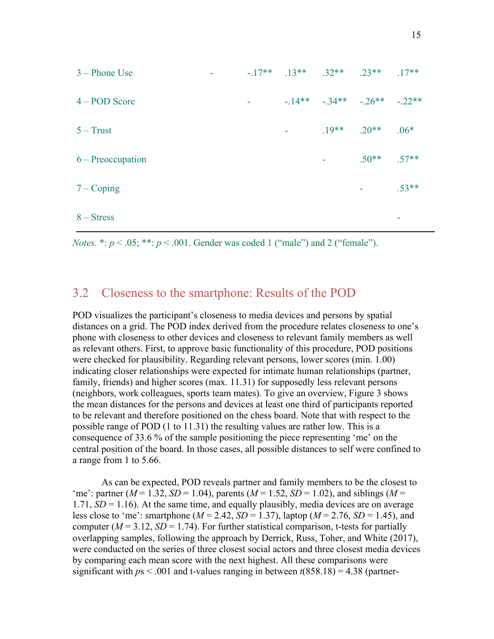| $3$ – Phone Use     | ٠ | $-17^{**}$ $13^{**}$ $32^{**}$ $.23^{**}$ $.17^{**}$ |                  |                                      |         |
|---------------------|---|------------------------------------------------------|------------------|--------------------------------------|---------|
| $4 - POD Score$     |   |                                                      |                  | $-.14***$ $-.34**$ $-.26**$ $-.22**$ |         |
| $5 - Trust$         |   | a.                                                   | $.19***$ $.20**$ |                                      | $.06*$  |
| $6$ – Preoccupation |   |                                                      |                  | $.50**$                              | $.57**$ |
| $7 - Coping$        |   |                                                      |                  |                                      | $.53**$ |
| $8 - \text{Stress}$ |   |                                                      |                  |                                      | ۰       |

*Notes.* \*:  $p < .05$ ; \*\*:  $p < .001$ . Gender was coded 1 ("male") and 2 ("female").

#### 3.2 Closeness to the smartphone: Results of the POD

POD visualizes the participant's closeness to media devices and persons by spatial distances on a grid. The POD index derived from the procedure relates closeness to one's phone with closeness to other devices and closeness to relevant family members as well as relevant others. First, to approve basic functionality of this procedure, POD positions were checked for plausibility. Regarding relevant persons, lower scores (min. 1.00) indicating closer relationships were expected for intimate human relationships (partner, family, friends) and higher scores (max. 11.31) for supposedly less relevant persons (neighbors, work colleagues, sports team mates). To give an overview, Figure 3 shows the mean distances for the persons and devices at least one third of participants reported to be relevant and therefore positioned on the chess board. Note that with respect to the possible range of POD (1 to 11.31) the resulting values are rather low. This is a consequence of 33.6 % of the sample positioning the piece representing 'me' on the central position of the board. In those cases, all possible distances to self were confined to a range from 1 to 5.66.

As can be expected, POD reveals partner and family members to be the closest to 'me': partner ( $M = 1.32$ ,  $SD = 1.04$ ), parents ( $M = 1.52$ ,  $SD = 1.02$ ), and siblings ( $M =$ 1.71, *SD* = 1.16). At the same time, and equally plausibly, media devices are on average less close to 'me': smartphone  $(M = 2.42, SD = 1.37)$ , laptop  $(M = 2.76, SD = 1.45)$ , and computer  $(M = 3.12, SD = 1.74)$ . For further statistical comparison, t-tests for partially overlapping samples, following the approach by Derrick, Russ, Toher, and White (2017), were conducted on the series of three closest social actors and three closest media devices by comparing each mean score with the next highest. All these comparisons were significant with  $ps < .001$  and t-values ranging in between  $t(858.18) = 4.38$  (partner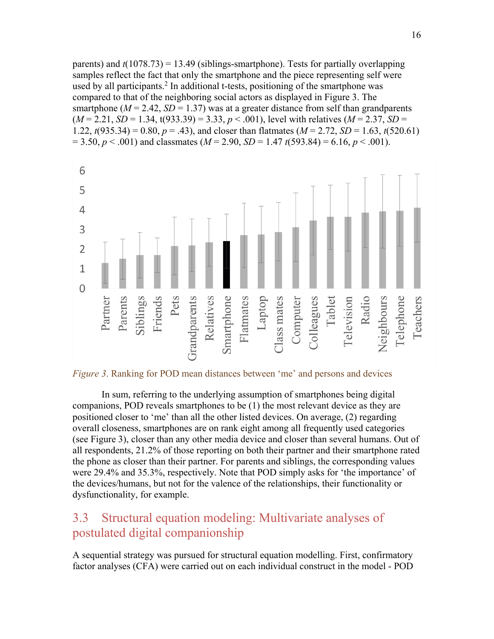parents) and *t*(1078.73) = 13.49 (siblings-smartphone). Tests for partially overlapping samples reflect the fact that only the smartphone and the piece representing self were used by all participants.<sup>2</sup> In additional t-tests, positioning of the smartphone was compared to that of the neighboring social actors as displayed in Figure 3. The smartphone  $(M = 2.42, SD = 1.37)$  was at a greater distance from self than grandparents  $(M = 2.21, SD = 1.34, t(933.39) = 3.33, p < .001$ , level with relatives  $(M = 2.37, SD =$ 1.22,  $t(935.34) = 0.80, p = .43$ , and closer than flatmates ( $M = 2.72, SD = 1.63, t(520.61)$ )  $= 3.50, p < .001$  and classmates ( $M = 2.90, SD = 1.47$  *t*(593.84) = 6.16, *p* < .001).



*Figure 3*. Ranking for POD mean distances between 'me' and persons and devices

In sum, referring to the underlying assumption of smartphones being digital companions, POD reveals smartphones to be (1) the most relevant device as they are positioned closer to 'me' than all the other listed devices. On average, (2) regarding overall closeness, smartphones are on rank eight among all frequently used categories (see Figure 3), closer than any other media device and closer than several humans. Out of all respondents, 21.2% of those reporting on both their partner and their smartphone rated the phone as closer than their partner. For parents and siblings, the corresponding values were 29.4% and 35.3%, respectively. Note that POD simply asks for 'the importance' of the devices/humans, but not for the valence of the relationships, their functionality or dysfunctionality, for example.

### 3.3 Structural equation modeling: Multivariate analyses of postulated digital companionship

A sequential strategy was pursued for structural equation modelling. First, confirmatory factor analyses (CFA) were carried out on each individual construct in the model - POD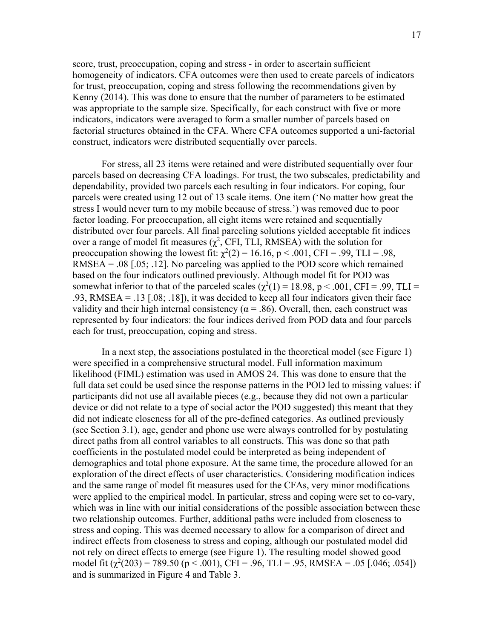score, trust, preoccupation, coping and stress - in order to ascertain sufficient homogeneity of indicators. CFA outcomes were then used to create parcels of indicators for trust, preoccupation, coping and stress following the recommendations given by Kenny (2014). This was done to ensure that the number of parameters to be estimated was appropriate to the sample size. Specifically, for each construct with five or more indicators, indicators were averaged to form a smaller number of parcels based on factorial structures obtained in the CFA. Where CFA outcomes supported a uni-factorial construct, indicators were distributed sequentially over parcels.

For stress, all 23 items were retained and were distributed sequentially over four parcels based on decreasing CFA loadings. For trust, the two subscales, predictability and dependability, provided two parcels each resulting in four indicators. For coping, four parcels were created using 12 out of 13 scale items. One item ('No matter how great the stress I would never turn to my mobile because of stress.') was removed due to poor factor loading. For preoccupation, all eight items were retained and sequentially distributed over four parcels. All final parceling solutions yielded acceptable fit indices over a range of model fit measures  $(\chi^2)$ , CFI, TLI, RMSEA) with the solution for preoccupation showing the lowest fit:  $\chi^2(2) = 16.16$ , p < .001, CFI = .99, TLI = .98, RMSEA =  $.08$  [ $.05$ ;  $.12$ ]. No parceling was applied to the POD score which remained based on the four indicators outlined previously. Although model fit for POD was somewhat inferior to that of the parceled scales ( $\chi^2(1) = 18.98$ , p < .001, CFI = .99, TLI = .93, RMSEA = .13 [.08; .18]), it was decided to keep all four indicators given their face validity and their high internal consistency ( $\alpha$  = .86). Overall, then, each construct was represented by four indicators: the four indices derived from POD data and four parcels each for trust, preoccupation, coping and stress.

In a next step, the associations postulated in the theoretical model (see Figure 1) were specified in a comprehensive structural model. Full information maximum likelihood (FIML) estimation was used in AMOS 24. This was done to ensure that the full data set could be used since the response patterns in the POD led to missing values: if participants did not use all available pieces (e.g., because they did not own a particular device or did not relate to a type of social actor the POD suggested) this meant that they did not indicate closeness for all of the pre-defined categories. As outlined previously (see Section 3.1), age, gender and phone use were always controlled for by postulating direct paths from all control variables to all constructs. This was done so that path coefficients in the postulated model could be interpreted as being independent of demographics and total phone exposure. At the same time, the procedure allowed for an exploration of the direct effects of user characteristics. Considering modification indices and the same range of model fit measures used for the CFAs, very minor modifications were applied to the empirical model. In particular, stress and coping were set to co-vary, which was in line with our initial considerations of the possible association between these two relationship outcomes. Further, additional paths were included from closeness to stress and coping. This was deemed necessary to allow for a comparison of direct and indirect effects from closeness to stress and coping, although our postulated model did not rely on direct effects to emerge (see Figure 1). The resulting model showed good model fit  $(\chi^2(203) = 789.50 \; (p \le .001)$ , CFI = .96, TLI = .95, RMSEA = .05 [.046; .054]) and is summarized in Figure 4 and Table 3.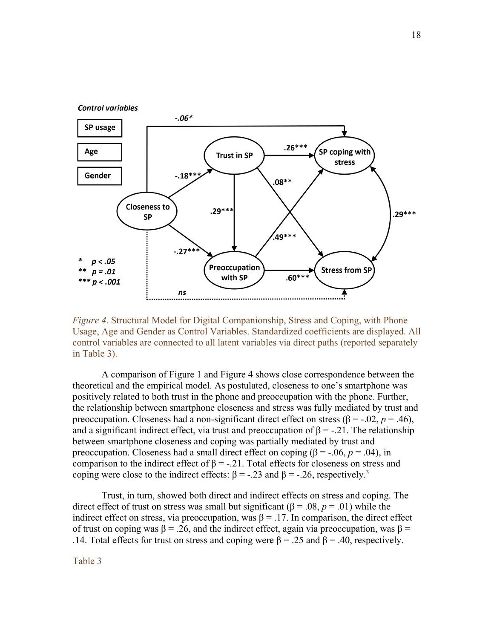

*Figure 4*. Structural Model for Digital Companionship, Stress and Coping, with Phone Usage, Age and Gender as Control Variables. Standardized coefficients are displayed. All control variables are connected to all latent variables via direct paths (reported separately in Table 3).

A comparison of Figure 1 and Figure 4 shows close correspondence between the theoretical and the empirical model. As postulated, closeness to one's smartphone was positively related to both trust in the phone and preoccupation with the phone. Further, the relationship between smartphone closeness and stress was fully mediated by trust and preoccupation. Closeness had a non-significant direct effect on stress ( $\beta = -0.02$ ,  $p = 0.46$ ), and a significant indirect effect, via trust and preoccupation of  $\beta$  = -.21. The relationship between smartphone closeness and coping was partially mediated by trust and preoccupation. Closeness had a small direct effect on coping ( $β = -.06, p = .04$ ), in comparison to the indirect effect of  $\beta = -0.21$ . Total effects for closeness on stress and coping were close to the indirect effects:  $β = -.23$  and  $β = -.26$ , respectively.<sup>3</sup>

Trust, in turn, showed both direct and indirect effects on stress and coping. The direct effect of trust on stress was small but significant (β = .08,  $p = .01$ ) while the indirect effect on stress, via preoccupation, was  $\beta = .17$ . In comparison, the direct effect of trust on coping was  $\beta = 0.26$ , and the indirect effect, again via preoccupation, was  $\beta =$ .14. Total effects for trust on stress and coping were  $\beta = .25$  and  $\beta = .40$ , respectively.

Table 3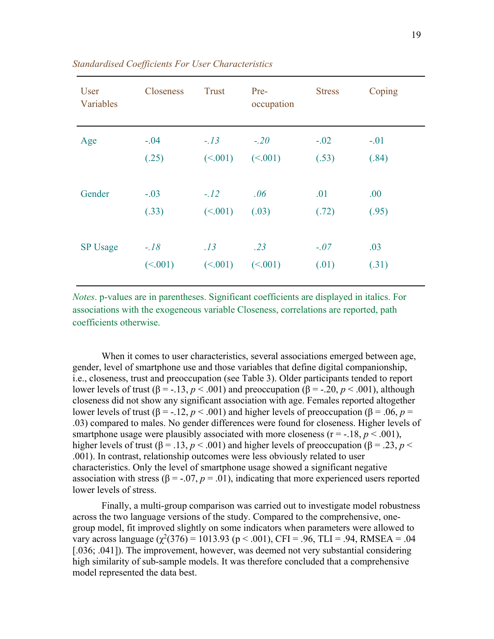| User<br>Variables | Closeness | <b>Trust</b> | Pre-<br>occupation | <b>Stress</b> | Coping |
|-------------------|-----------|--------------|--------------------|---------------|--------|
| Age               | $-.04$    | $-.13$       | $-.20$             | $-.02$        | $-.01$ |
|                   | (.25)     | (<.001)      | (<.001)            | (.53)         | (.84)  |
| Gender            | $-.03$    | $-.12$       | .06                | .01           | .00    |
|                   | (.33)     | (<.001)      | (.03)              | (.72)         | (.95)  |
| <b>SP Usage</b>   | $-.18$    | .13          | .23                | $-.07$        | .03    |
|                   | (<.001)   | (<.001)      | (<.001)            | (.01)         | (.31)  |

*Standardised Coefficients For User Characteristics*

*Notes*. p-values are in parentheses. Significant coefficients are displayed in italics. For associations with the exogeneous variable Closeness, correlations are reported, path coefficients otherwise.

When it comes to user characteristics, several associations emerged between age, gender, level of smartphone use and those variables that define digital companionship, i.e., closeness, trust and preoccupation (see Table 3). Older participants tended to report lower levels of trust (β = -.13,  $p < .001$ ) and preoccupation (β = -.20,  $p < .001$ ), although closeness did not show any significant association with age. Females reported altogether lower levels of trust (β = -.12, *p* < .001) and higher levels of preoccupation (β = .06, *p* = .03) compared to males. No gender differences were found for closeness. Higher levels of smartphone usage were plausibly associated with more closeness  $(r = -.18, p < .001)$ , higher levels of trust ( $\beta = .13$ ,  $p < .001$ ) and higher levels of preoccupation ( $\beta = .23$ ,  $p <$ .001). In contrast, relationship outcomes were less obviously related to user characteristics. Only the level of smartphone usage showed a significant negative association with stress ( $\beta = -0.07$ ,  $p = 0.01$ ), indicating that more experienced users reported lower levels of stress.

Finally, a multi-group comparison was carried out to investigate model robustness across the two language versions of the study. Compared to the comprehensive, onegroup model, fit improved slightly on some indicators when parameters were allowed to vary across language  $(\chi^2(376) = 1013.93$  (p < .001), CFI = .96, TLI = .94, RMSEA = .04 [.036; .041]). The improvement, however, was deemed not very substantial considering high similarity of sub-sample models. It was therefore concluded that a comprehensive model represented the data best.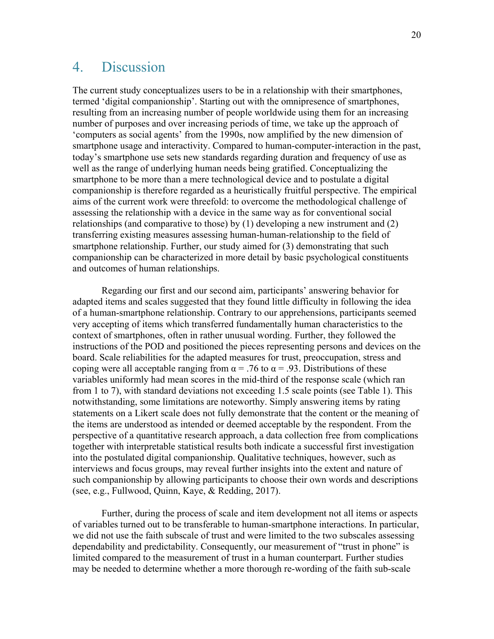# 4. Discussion

The current study conceptualizes users to be in a relationship with their smartphones, termed 'digital companionship'. Starting out with the omnipresence of smartphones, resulting from an increasing number of people worldwide using them for an increasing number of purposes and over increasing periods of time, we take up the approach of 'computers as social agents' from the 1990s, now amplified by the new dimension of smartphone usage and interactivity. Compared to human-computer-interaction in the past, today's smartphone use sets new standards regarding duration and frequency of use as well as the range of underlying human needs being gratified. Conceptualizing the smartphone to be more than a mere technological device and to postulate a digital companionship is therefore regarded as a heuristically fruitful perspective. The empirical aims of the current work were threefold: to overcome the methodological challenge of assessing the relationship with a device in the same way as for conventional social relationships (and comparative to those) by (1) developing a new instrument and (2) transferring existing measures assessing human-human-relationship to the field of smartphone relationship. Further, our study aimed for (3) demonstrating that such companionship can be characterized in more detail by basic psychological constituents and outcomes of human relationships.

Regarding our first and our second aim, participants' answering behavior for adapted items and scales suggested that they found little difficulty in following the idea of a human-smartphone relationship. Contrary to our apprehensions, participants seemed very accepting of items which transferred fundamentally human characteristics to the context of smartphones, often in rather unusual wording. Further, they followed the instructions of the POD and positioned the pieces representing persons and devices on the board. Scale reliabilities for the adapted measures for trust, preoccupation, stress and coping were all acceptable ranging from  $\alpha = .76$  to  $\alpha = .93$ . Distributions of these variables uniformly had mean scores in the mid-third of the response scale (which ran from 1 to 7), with standard deviations not exceeding 1.5 scale points (see Table 1). This notwithstanding, some limitations are noteworthy. Simply answering items by rating statements on a Likert scale does not fully demonstrate that the content or the meaning of the items are understood as intended or deemed acceptable by the respondent. From the perspective of a quantitative research approach, a data collection free from complications together with interpretable statistical results both indicate a successful first investigation into the postulated digital companionship. Qualitative techniques, however, such as interviews and focus groups, may reveal further insights into the extent and nature of such companionship by allowing participants to choose their own words and descriptions (see, e.g., Fullwood, Quinn, Kaye, & Redding, 2017).

Further, during the process of scale and item development not all items or aspects of variables turned out to be transferable to human-smartphone interactions. In particular, we did not use the faith subscale of trust and were limited to the two subscales assessing dependability and predictability. Consequently, our measurement of "trust in phone" is limited compared to the measurement of trust in a human counterpart. Further studies may be needed to determine whether a more thorough re-wording of the faith sub-scale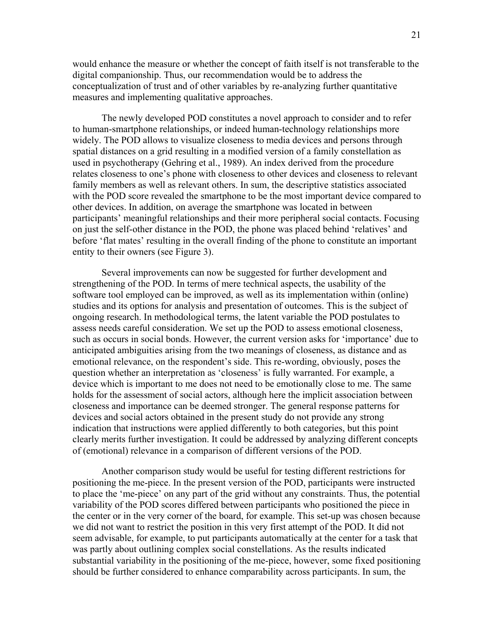would enhance the measure or whether the concept of faith itself is not transferable to the digital companionship. Thus, our recommendation would be to address the conceptualization of trust and of other variables by re-analyzing further quantitative measures and implementing qualitative approaches.

The newly developed POD constitutes a novel approach to consider and to refer to human-smartphone relationships, or indeed human-technology relationships more widely. The POD allows to visualize closeness to media devices and persons through spatial distances on a grid resulting in a modified version of a family constellation as used in psychotherapy (Gehring et al., 1989). An index derived from the procedure relates closeness to one's phone with closeness to other devices and closeness to relevant family members as well as relevant others. In sum, the descriptive statistics associated with the POD score revealed the smartphone to be the most important device compared to other devices. In addition, on average the smartphone was located in between participants' meaningful relationships and their more peripheral social contacts. Focusing on just the self-other distance in the POD, the phone was placed behind 'relatives' and before 'flat mates' resulting in the overall finding of the phone to constitute an important entity to their owners (see Figure 3).

Several improvements can now be suggested for further development and strengthening of the POD. In terms of mere technical aspects, the usability of the software tool employed can be improved, as well as its implementation within (online) studies and its options for analysis and presentation of outcomes. This is the subject of ongoing research. In methodological terms, the latent variable the POD postulates to assess needs careful consideration. We set up the POD to assess emotional closeness, such as occurs in social bonds. However, the current version asks for 'importance' due to anticipated ambiguities arising from the two meanings of closeness, as distance and as emotional relevance, on the respondent's side. This re-wording, obviously, poses the question whether an interpretation as 'closeness' is fully warranted. For example, a device which is important to me does not need to be emotionally close to me. The same holds for the assessment of social actors, although here the implicit association between closeness and importance can be deemed stronger. The general response patterns for devices and social actors obtained in the present study do not provide any strong indication that instructions were applied differently to both categories, but this point clearly merits further investigation. It could be addressed by analyzing different concepts of (emotional) relevance in a comparison of different versions of the POD.

Another comparison study would be useful for testing different restrictions for positioning the me-piece. In the present version of the POD, participants were instructed to place the 'me-piece' on any part of the grid without any constraints. Thus, the potential variability of the POD scores differed between participants who positioned the piece in the center or in the very corner of the board, for example. This set-up was chosen because we did not want to restrict the position in this very first attempt of the POD. It did not seem advisable, for example, to put participants automatically at the center for a task that was partly about outlining complex social constellations. As the results indicated substantial variability in the positioning of the me-piece, however, some fixed positioning should be further considered to enhance comparability across participants. In sum, the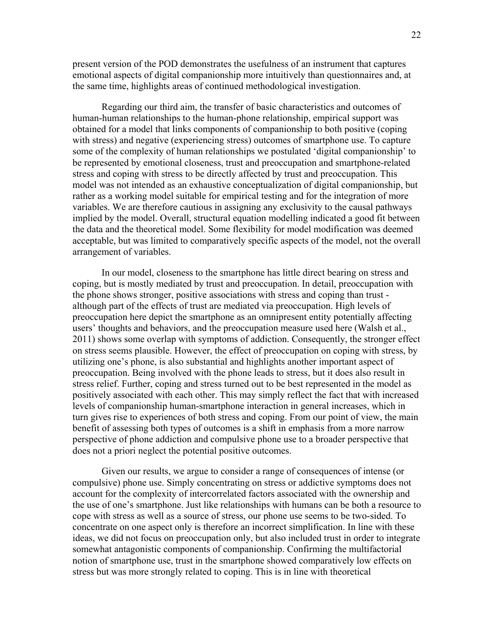present version of the POD demonstrates the usefulness of an instrument that captures emotional aspects of digital companionship more intuitively than questionnaires and, at the same time, highlights areas of continued methodological investigation.

Regarding our third aim, the transfer of basic characteristics and outcomes of human-human relationships to the human-phone relationship, empirical support was obtained for a model that links components of companionship to both positive (coping with stress) and negative (experiencing stress) outcomes of smartphone use. To capture some of the complexity of human relationships we postulated 'digital companionship' to be represented by emotional closeness, trust and preoccupation and smartphone-related stress and coping with stress to be directly affected by trust and preoccupation. This model was not intended as an exhaustive conceptualization of digital companionship, but rather as a working model suitable for empirical testing and for the integration of more variables. We are therefore cautious in assigning any exclusivity to the causal pathways implied by the model. Overall, structural equation modelling indicated a good fit between the data and the theoretical model. Some flexibility for model modification was deemed acceptable, but was limited to comparatively specific aspects of the model, not the overall arrangement of variables.

In our model, closeness to the smartphone has little direct bearing on stress and coping, but is mostly mediated by trust and preoccupation. In detail, preoccupation with the phone shows stronger, positive associations with stress and coping than trust although part of the effects of trust are mediated via preoccupation. High levels of preoccupation here depict the smartphone as an omnipresent entity potentially affecting users' thoughts and behaviors, and the preoccupation measure used here (Walsh et al., 2011) shows some overlap with symptoms of addiction. Consequently, the stronger effect on stress seems plausible. However, the effect of preoccupation on coping with stress, by utilizing one's phone, is also substantial and highlights another important aspect of preoccupation. Being involved with the phone leads to stress, but it does also result in stress relief. Further, coping and stress turned out to be best represented in the model as positively associated with each other. This may simply reflect the fact that with increased levels of companionship human-smartphone interaction in general increases, which in turn gives rise to experiences of both stress and coping. From our point of view, the main benefit of assessing both types of outcomes is a shift in emphasis from a more narrow perspective of phone addiction and compulsive phone use to a broader perspective that does not a priori neglect the potential positive outcomes.

Given our results, we argue to consider a range of consequences of intense (or compulsive) phone use. Simply concentrating on stress or addictive symptoms does not account for the complexity of intercorrelated factors associated with the ownership and the use of one's smartphone. Just like relationships with humans can be both a resource to cope with stress as well as a source of stress, our phone use seems to be two-sided. To concentrate on one aspect only is therefore an incorrect simplification. In line with these ideas, we did not focus on preoccupation only, but also included trust in order to integrate somewhat antagonistic components of companionship. Confirming the multifactorial notion of smartphone use, trust in the smartphone showed comparatively low effects on stress but was more strongly related to coping. This is in line with theoretical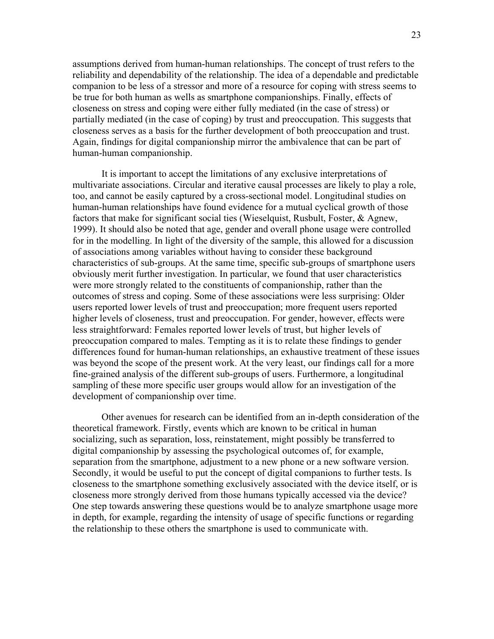assumptions derived from human-human relationships. The concept of trust refers to the reliability and dependability of the relationship. The idea of a dependable and predictable companion to be less of a stressor and more of a resource for coping with stress seems to be true for both human as wells as smartphone companionships. Finally, effects of closeness on stress and coping were either fully mediated (in the case of stress) or partially mediated (in the case of coping) by trust and preoccupation. This suggests that closeness serves as a basis for the further development of both preoccupation and trust. Again, findings for digital companionship mirror the ambivalence that can be part of human-human companionship.

It is important to accept the limitations of any exclusive interpretations of multivariate associations. Circular and iterative causal processes are likely to play a role, too, and cannot be easily captured by a cross-sectional model. Longitudinal studies on human-human relationships have found evidence for a mutual cyclical growth of those factors that make for significant social ties (Wieselquist, Rusbult, Foster, & Agnew, 1999). It should also be noted that age, gender and overall phone usage were controlled for in the modelling. In light of the diversity of the sample, this allowed for a discussion of associations among variables without having to consider these background characteristics of sub-groups. At the same time, specific sub-groups of smartphone users obviously merit further investigation. In particular, we found that user characteristics were more strongly related to the constituents of companionship, rather than the outcomes of stress and coping. Some of these associations were less surprising: Older users reported lower levels of trust and preoccupation; more frequent users reported higher levels of closeness, trust and preoccupation. For gender, however, effects were less straightforward: Females reported lower levels of trust, but higher levels of preoccupation compared to males. Tempting as it is to relate these findings to gender differences found for human-human relationships, an exhaustive treatment of these issues was beyond the scope of the present work. At the very least, our findings call for a more fine-grained analysis of the different sub-groups of users. Furthermore, a longitudinal sampling of these more specific user groups would allow for an investigation of the development of companionship over time.

Other avenues for research can be identified from an in-depth consideration of the theoretical framework. Firstly, events which are known to be critical in human socializing, such as separation, loss, reinstatement, might possibly be transferred to digital companionship by assessing the psychological outcomes of, for example, separation from the smartphone, adjustment to a new phone or a new software version. Secondly, it would be useful to put the concept of digital companions to further tests. Is closeness to the smartphone something exclusively associated with the device itself, or is closeness more strongly derived from those humans typically accessed via the device? One step towards answering these questions would be to analyze smartphone usage more in depth, for example, regarding the intensity of usage of specific functions or regarding the relationship to these others the smartphone is used to communicate with.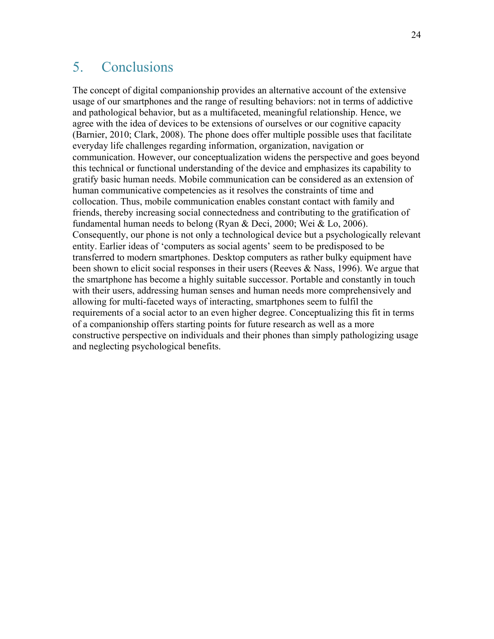## 5. Conclusions

The concept of digital companionship provides an alternative account of the extensive usage of our smartphones and the range of resulting behaviors: not in terms of addictive and pathological behavior, but as a multifaceted, meaningful relationship. Hence, we agree with the idea of devices to be extensions of ourselves or our cognitive capacity (Barnier, 2010; Clark, 2008). The phone does offer multiple possible uses that facilitate everyday life challenges regarding information, organization, navigation or communication. However, our conceptualization widens the perspective and goes beyond this technical or functional understanding of the device and emphasizes its capability to gratify basic human needs. Mobile communication can be considered as an extension of human communicative competencies as it resolves the constraints of time and collocation. Thus, mobile communication enables constant contact with family and friends, thereby increasing social connectedness and contributing to the gratification of fundamental human needs to belong (Ryan & Deci, 2000; Wei & Lo, 2006). Consequently, our phone is not only a technological device but a psychologically relevant entity. Earlier ideas of 'computers as social agents' seem to be predisposed to be transferred to modern smartphones. Desktop computers as rather bulky equipment have been shown to elicit social responses in their users (Reeves & Nass, 1996). We argue that the smartphone has become a highly suitable successor. Portable and constantly in touch with their users, addressing human senses and human needs more comprehensively and allowing for multi-faceted ways of interacting, smartphones seem to fulfil the requirements of a social actor to an even higher degree. Conceptualizing this fit in terms of a companionship offers starting points for future research as well as a more constructive perspective on individuals and their phones than simply pathologizing usage and neglecting psychological benefits.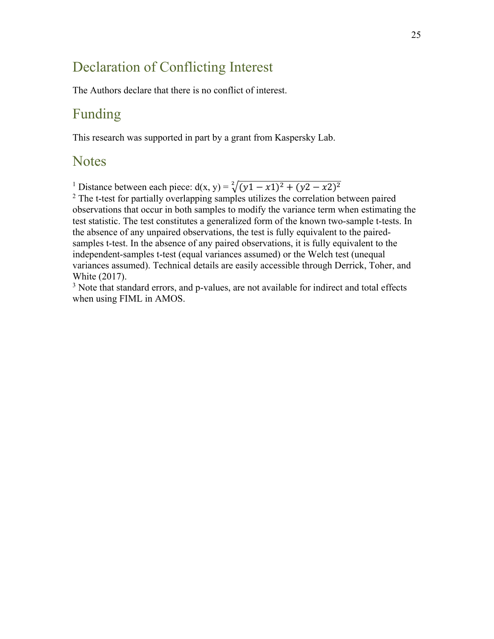# Declaration of Conflicting Interest

The Authors declare that there is no conflict of interest.

# Funding

This research was supported in part by a grant from Kaspersky Lab.

### **Notes**

<sup>1</sup> Distance between each piece:  $d(x, y) = \sqrt[2]{(y1 - x1)^2 + (y2 - x2)^2}$ 

<sup>2</sup> The t-test for partially overlapping samples utilizes the correlation between paired observations that occur in both samples to modify the variance term when estimating the test statistic. The test constitutes a generalized form of the known two-sample t-tests. In the absence of any unpaired observations, the test is fully equivalent to the pairedsamples t-test. In the absence of any paired observations, it is fully equivalent to the independent-samples t-test (equal variances assumed) or the Welch test (unequal variances assumed). Technical details are easily accessible through Derrick, Toher, and White (2017).

<sup>3</sup> Note that standard errors, and p-values, are not available for indirect and total effects when using FIML in AMOS.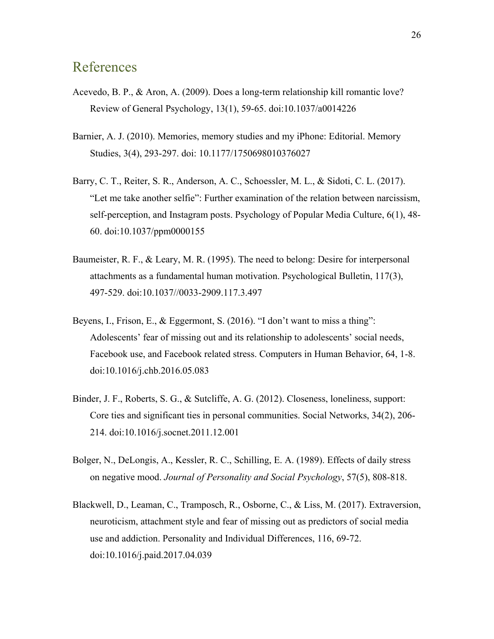### References

- Acevedo, B. P., & Aron, A. (2009). Does a long-term relationship kill romantic love? Review of General Psychology, 13(1), 59-65. doi:10.1037/a0014226
- Barnier, A. J. (2010). Memories, memory studies and my iPhone: Editorial. Memory Studies, 3(4), 293-297. doi: 10.1177/1750698010376027
- Barry, C. T., Reiter, S. R., Anderson, A. C., Schoessler, M. L., & Sidoti, C. L. (2017). "Let me take another selfie": Further examination of the relation between narcissism, self-perception, and Instagram posts. Psychology of Popular Media Culture, 6(1), 48- 60. doi:10.1037/ppm0000155
- Baumeister, R. F., & Leary, M. R. (1995). The need to belong: Desire for interpersonal attachments as a fundamental human motivation. Psychological Bulletin, 117(3), 497-529. doi:10.1037//0033-2909.117.3.497
- Beyens, I., Frison, E., & Eggermont, S. (2016). "I don't want to miss a thing": Adolescents' fear of missing out and its relationship to adolescents' social needs, Facebook use, and Facebook related stress. Computers in Human Behavior, 64, 1-8. doi:10.1016/j.chb.2016.05.083
- Binder, J. F., Roberts, S. G., & Sutcliffe, A. G. (2012). Closeness, loneliness, support: Core ties and significant ties in personal communities. Social Networks, 34(2), 206- 214. doi:10.1016/j.socnet.2011.12.001
- Bolger, N., DeLongis, A., Kessler, R. C., Schilling, E. A. (1989). Effects of daily stress on negative mood. *Journal of Personality and Social Psychology*, 57(5), 808-818.
- Blackwell, D., Leaman, C., Tramposch, R., Osborne, C., & Liss, M. (2017). Extraversion, neuroticism, attachment style and fear of missing out as predictors of social media use and addiction. Personality and Individual Differences, 116, 69-72. doi:10.1016/j.paid.2017.04.039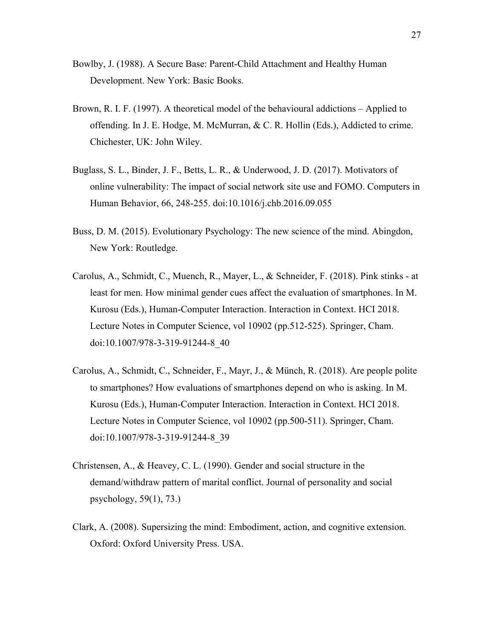- Bowlby, J. (1988). A Secure Base: Parent-Child Attachment and Healthy Human Development. New York: Basic Books.
- Brown, R. I. F. (1997). A theoretical model of the behavioural addictions Applied to offending. In J. E. Hodge, M. McMurran, & C. R. Hollin (Eds.), Addicted to crime. Chichester, UK: John Wiley.
- Buglass, S. L., Binder, J. F., Betts, L. R., & Underwood, J. D. (2017). Motivators of online vulnerability: The impact of social network site use and FOMO. Computers in Human Behavior, 66, 248-255. doi:10.1016/j.chb.2016.09.055
- Buss, D. M. (2015). Evolutionary Psychology: The new science of the mind. Abingdon, New York: Routledge.
- Carolus, A., Schmidt, C., Muench, R., Mayer, L., & Schneider, F. (2018). Pink stinks at least for men. How minimal gender cues affect the evaluation of smartphones. In M. Kurosu (Eds.), Human-Computer Interaction. Interaction in Context. HCI 2018. Lecture Notes in Computer Science, vol 10902 (pp.512-525). Springer, Cham. doi:10.1007/978-3-319-91244-8\_40
- Carolus, A., Schmidt, C., Schneider, F., Mayr, J., & Münch, R. (2018). Are people polite to smartphones? How evaluations of smartphones depend on who is asking. In M. Kurosu (Eds.), Human-Computer Interaction. Interaction in Context. HCI 2018. Lecture Notes in Computer Science, vol 10902 (pp.500-511). Springer, Cham. doi:10.1007/978-3-319-91244-8\_39
- Christensen, A., & Heavey, C. L. (1990). Gender and social structure in the demand/withdraw pattern of marital conflict. Journal of personality and social psychology, 59(1), 73.)
- Clark, A. (2008). Supersizing the mind: Embodiment, action, and cognitive extension. Oxford: Oxford University Press. USA.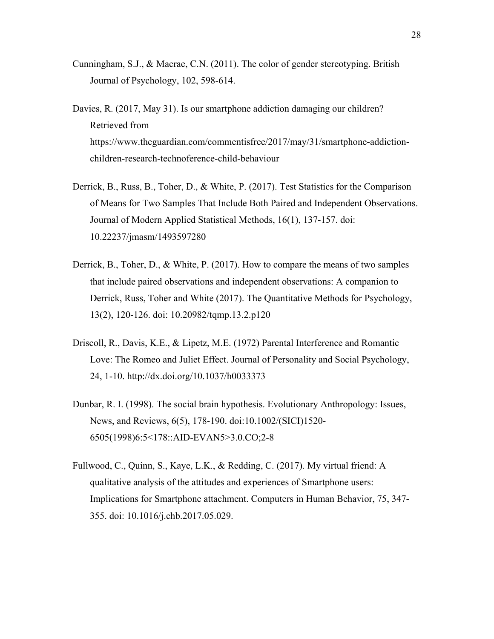- Cunningham, S.J., & Macrae, C.N. (2011). The color of gender stereotyping. British Journal of Psychology, 102, 598-614.
- Davies, R. (2017, May 31). Is our smartphone addiction damaging our children? Retrieved from https://www.theguardian.com/commentisfree/2017/may/31/smartphone-addictionchildren-research-technoference-child-behaviour
- Derrick, B., Russ, B., Toher, D., & White, P. (2017). Test Statistics for the Comparison of Means for Two Samples That Include Both Paired and Independent Observations. Journal of Modern Applied Statistical Methods, 16(1), 137-157. doi: 10.22237/jmasm/1493597280
- Derrick, B., Toher, D., & White, P. (2017). How to compare the means of two samples that include paired observations and independent observations: A companion to Derrick, Russ, Toher and White (2017). The Quantitative Methods for Psychology, 13(2), 120-126. doi: 10.20982/tqmp.13.2.p120
- Driscoll, R., Davis, K.E., & Lipetz, M.E. (1972) Parental Interference and Romantic Love: The Romeo and Juliet Effect. Journal of Personality and Social Psychology, 24, 1-10. http://dx.doi.org/10.1037/h0033373
- Dunbar, R. I. (1998). The social brain hypothesis. Evolutionary Anthropology: Issues, News, and Reviews, 6(5), 178-190. doi:10.1002/(SICI)1520- 6505(1998)6:5<178::AID-EVAN5>3.0.CO;2-8
- Fullwood, C., Quinn, S., Kaye, L.K., & Redding, C. (2017). My virtual friend: A qualitative analysis of the attitudes and experiences of Smartphone users: Implications for Smartphone attachment. Computers in Human Behavior, 75, 347- 355. doi: 10.1016/j.chb.2017.05.029.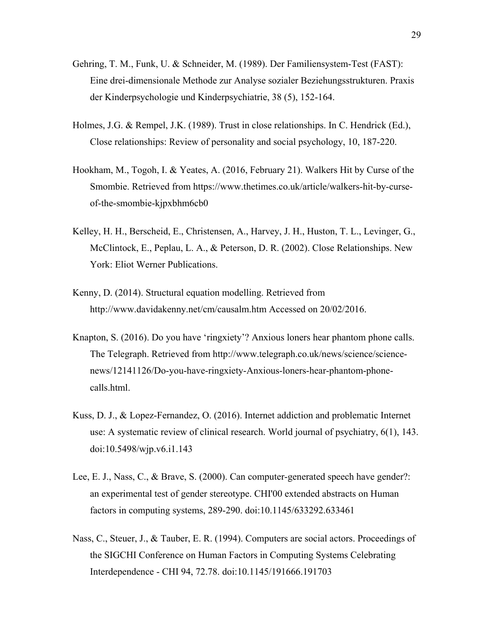- Gehring, T. M., Funk, U. & Schneider, M. (1989). Der Familiensystem-Test (FAST): Eine drei-dimensionale Methode zur Analyse sozialer Beziehungsstrukturen. Praxis der Kinderpsychologie und Kinderpsychiatrie, 38 (5), 152-164.
- Holmes, J.G. & Rempel, J.K. (1989). Trust in close relationships. In C. Hendrick (Ed.), Close relationships: Review of personality and social psychology, 10, 187-220.
- Hookham, M., Togoh, I. & Yeates, A. (2016, February 21). Walkers Hit by Curse of the Smombie. Retrieved from https://www.thetimes.co.uk/article/walkers-hit-by-curseof-the-smombie-kjpxbhm6cb0
- Kelley, H. H., Berscheid, E., Christensen, A., Harvey, J. H., Huston, T. L., Levinger, G., McClintock, E., Peplau, L. A., & Peterson, D. R. (2002). Close Relationships. New York: Eliot Werner Publications.
- Kenny, D. (2014). Structural equation modelling. Retrieved from http://www.davidakenny.net/cm/causalm.htm Accessed on 20/02/2016.
- Knapton, S. (2016). Do you have 'ringxiety'? Anxious loners hear phantom phone calls. The Telegraph. Retrieved from http://www.telegraph.co.uk/news/science/sciencenews/12141126/Do-you-have-ringxiety-Anxious-loners-hear-phantom-phonecalls.html.
- Kuss, D. J., & Lopez-Fernandez, O. (2016). Internet addiction and problematic Internet use: A systematic review of clinical research. World journal of psychiatry, 6(1), 143. doi:10.5498/wjp.v6.i1.143
- Lee, E. J., Nass, C., & Brave, S. (2000). Can computer-generated speech have gender?: an experimental test of gender stereotype. CHI'00 extended abstracts on Human factors in computing systems, 289-290. doi:10.1145/633292.633461
- Nass, C., Steuer, J., & Tauber, E. R. (1994). Computers are social actors. Proceedings of the SIGCHI Conference on Human Factors in Computing Systems Celebrating Interdependence - CHI 94, 72.78. doi:10.1145/191666.191703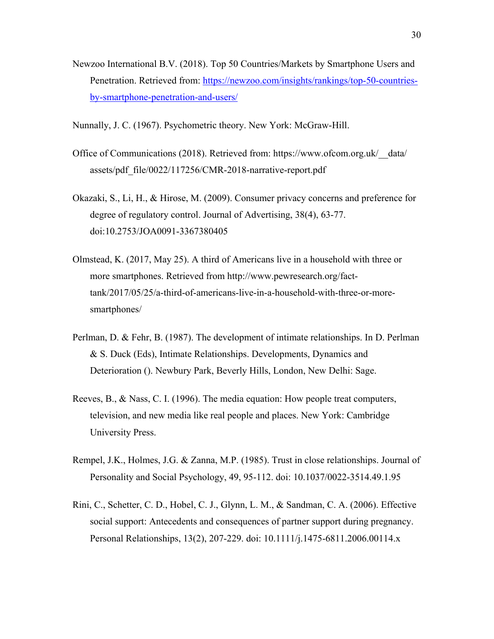- Newzoo International B.V. (2018). Top 50 Countries/Markets by Smartphone Users and Penetration. Retrieved from: [https://newzoo.com/insights/rankings/top-50-countries](https://newzoo.com/insights/rankings/top-50-countries-by-smartphone-penetration-and-users/)[by-smartphone-penetration-and-users/](https://newzoo.com/insights/rankings/top-50-countries-by-smartphone-penetration-and-users/)
- Nunnally, J. C. (1967). Psychometric theory. New York: McGraw-Hill.
- Office of Communications (2018). Retrieved from: https://www.ofcom.org.uk/\_\_data/ assets/pdf\_file/0022/117256/CMR-2018-narrative-report.pdf
- Okazaki, S., Li, H., & Hirose, M. (2009). Consumer privacy concerns and preference for degree of regulatory control. Journal of Advertising, 38(4), 63-77. doi:10.2753/JOA0091-3367380405
- Olmstead, K. (2017, May 25). A third of Americans live in a household with three or more smartphones. Retrieved from http://www.pewresearch.org/facttank/2017/05/25/a-third-of-americans-live-in-a-household-with-three-or-moresmartphones/
- Perlman, D. & Fehr, B. (1987). The development of intimate relationships. In D. Perlman & S. Duck (Eds), Intimate Relationships. Developments, Dynamics and Deterioration (). Newbury Park, Beverly Hills, London, New Delhi: Sage.
- Reeves, B., & Nass, C. I. (1996). The media equation: How people treat computers, television, and new media like real people and places. New York: Cambridge University Press.
- Rempel, J.K., Holmes, J.G. & Zanna, M.P. (1985). Trust in close relationships. Journal of Personality and Social Psychology, 49, 95-112. doi: 10.1037/0022-3514.49.1.95
- Rini, C., Schetter, C. D., Hobel, C. J., Glynn, L. M., & Sandman, C. A. (2006). Effective social support: Antecedents and consequences of partner support during pregnancy. Personal Relationships, 13(2), 207-229. doi: 10.1111/j.1475-6811.2006.00114.x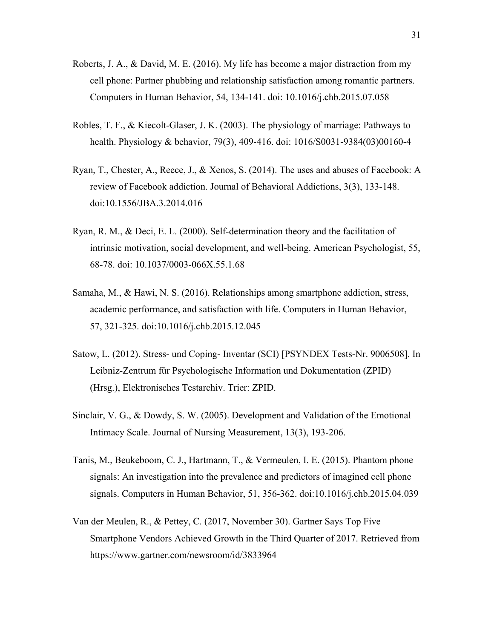- Roberts, J. A., & David, M. E. (2016). My life has become a major distraction from my cell phone: Partner phubbing and relationship satisfaction among romantic partners. Computers in Human Behavior, 54, 134-141. doi: 10.1016/j.chb.2015.07.058
- Robles, T. F., & Kiecolt-Glaser, J. K. (2003). The physiology of marriage: Pathways to health. Physiology & behavior, 79(3), 409-416. doi: 1016/S0031-9384(03)00160-4
- Ryan, T., Chester, A., Reece, J., & Xenos, S. (2014). The uses and abuses of Facebook: A review of Facebook addiction. Journal of Behavioral Addictions, 3(3), 133-148. doi:10.1556/JBA.3.2014.016
- Ryan, R. M., & Deci, E. L. (2000). Self-determination theory and the facilitation of intrinsic motivation, social development, and well-being. American Psychologist, 55, 68-78. doi: 10.1037/0003-066X.55.1.68
- Samaha, M., & Hawi, N. S. (2016). Relationships among smartphone addiction, stress, academic performance, and satisfaction with life. Computers in Human Behavior, 57, 321-325. doi:10.1016/j.chb.2015.12.045
- Satow, L. (2012). Stress- und Coping- Inventar (SCI) [PSYNDEX Tests-Nr. 9006508]. In Leibniz-Zentrum für Psychologische Information und Dokumentation (ZPID) (Hrsg.), Elektronisches Testarchiv. Trier: ZPID.
- Sinclair, V. G., & Dowdy, S. W. (2005). Development and Validation of the Emotional Intimacy Scale. Journal of Nursing Measurement, 13(3), 193-206.
- Tanis, M., Beukeboom, C. J., Hartmann, T., & Vermeulen, I. E. (2015). Phantom phone signals: An investigation into the prevalence and predictors of imagined cell phone signals. Computers in Human Behavior, 51, 356-362. doi:10.1016/j.chb.2015.04.039
- Van der Meulen, R., & Pettey, C. (2017, November 30). Gartner Says Top Five Smartphone Vendors Achieved Growth in the Third Quarter of 2017. Retrieved from https://www.gartner.com/newsroom/id/3833964